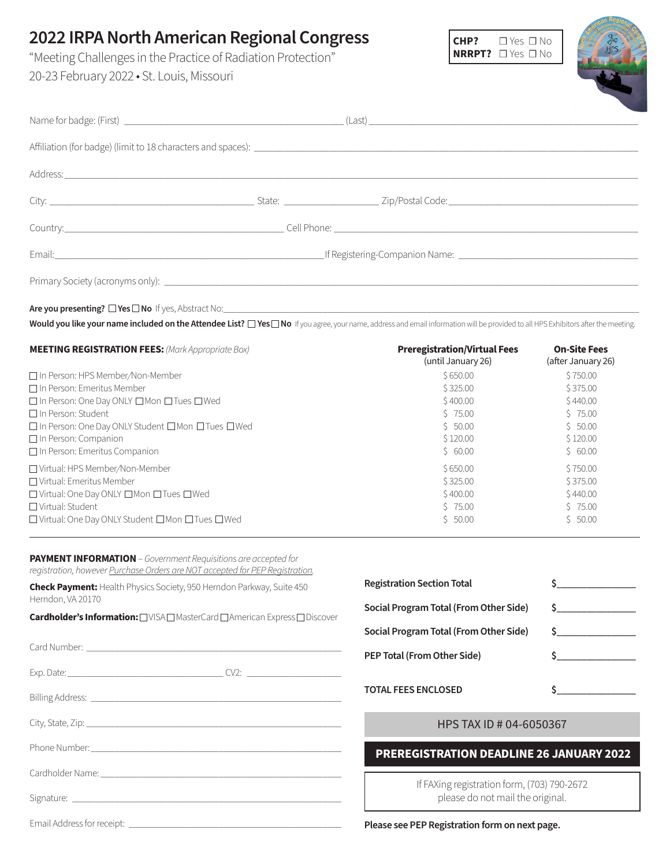# **2022 IRPA North American Regional Congress**

"Meeting Challenges in the Practice of Radiation Protection" 20-23 February 2022 • St. Louis, Missouri



| Email: Companion Name: Companion Name: Companion Name: Companion Name: Companion Name: Companion Name: Companion Name: Companion Name: Companion Name: Companion Name: Companion Name: Companion Name: Companion Name: Compani |  |  |
|--------------------------------------------------------------------------------------------------------------------------------------------------------------------------------------------------------------------------------|--|--|
|                                                                                                                                                                                                                                |  |  |
|                                                                                                                                                                                                                                |  |  |

Are you presenting?  $\square$  Yes  $\square$  No If yes, Abstract No:

Would you like your name included on the Attendee List?  $\Box$  Yes $\Box$  No If you agree, your name, address and email information will be provided to all HPS Exhibitors after the meeting.

| <b>MEETING REGISTRATION FEES:</b> (Mark Appropriate Box)         | <b>Preregistration/Virtual Fees</b><br>(until January 26) | <b>On-Site Fees</b><br>(after January 26) |
|------------------------------------------------------------------|-----------------------------------------------------------|-------------------------------------------|
| □ In Person: HPS Member/Non-Member                               | \$650.00                                                  | \$750.00                                  |
| $\Box$ In Person: Emeritus Member                                | \$325.00                                                  | \$375.00                                  |
| $\Box$ In Person: One Day ONLY $\Box$ Mon $\Box$ Tues $\Box$ Wed | \$400.00                                                  | \$440.00                                  |
| $\Box$ In Person: Student                                        | 575.00                                                    | 575.00                                    |
| □ In Person: One Day ONLY Student □ Mon □ Tues □ Wed             | \$50.00                                                   | \$50.00                                   |
| $\Box$ In Person: Companion                                      | \$120.00                                                  | \$120.00                                  |
| $\Box$ In Person: Emeritus Companion                             | \$60.00                                                   | \$60.00                                   |
| □ Virtual: HPS Member/Non-Member                                 | \$650.00                                                  | \$750.00                                  |
| □ Virtual: Emeritus Member                                       | \$325.00                                                  | \$375.00                                  |
| $\Box$ Virtual: One Day ONLY $\Box$ Mon $\Box$ Tues $\Box$ Wed   | \$400.00                                                  | \$440.00                                  |
| $\Box$ Virtual: Student                                          | 575.00                                                    | \$75.00                                   |
| □ Virtual: One Day ONLY Student □ Mon □ Tues □ Wed               | \$50.00                                                   | \$50.00                                   |

**PAYMENT INFORMATION**– *Government Requisitions are accepted for registration, however Purchase Orders are NOT accepted for PEP Registration.* 

**Check Payment:** Health Physics Society, 950 Herndon Parkway, Suite 450 Herndon, VA 20170

**Cardholder's Information:** □VISA □ MasterCard □ American Express □ Discover

Card Number:

Exp. Date:\_\_\_\_\_\_\_\_\_\_\_\_\_\_\_\_\_\_\_\_\_\_\_\_\_\_\_\_\_\_\_\_\_ CV2: \_\_\_\_\_\_\_\_\_\_\_\_\_\_\_\_\_\_\_\_

Billing Address: \_\_\_\_\_\_\_\_\_\_\_\_\_\_\_\_\_\_\_\_\_\_\_\_\_\_\_\_\_\_\_\_\_\_\_\_\_\_\_\_\_\_\_\_\_\_\_\_\_\_\_\_\_

City, State, Zip: \_\_\_\_\_\_\_\_\_\_\_\_\_\_\_\_\_\_\_\_\_\_\_\_\_\_\_\_\_\_\_\_\_\_\_\_\_\_\_\_\_\_\_\_\_\_\_\_\_\_\_\_\_\_

Phone Number:

Cardholder Name:

Signature: \_\_\_\_\_\_\_\_\_\_\_\_\_\_\_\_\_\_\_\_\_\_\_\_\_\_\_\_\_\_\_\_\_\_\_\_\_\_\_\_\_\_\_\_\_\_\_\_\_\_\_\_\_\_\_\_\_

Email Address for receipt: \_\_\_\_\_\_\_\_\_\_\_\_\_\_\_\_\_\_\_\_\_\_\_\_\_\_\_\_\_\_\_\_\_\_\_\_\_\_\_\_\_\_\_\_\_

| <b>Registration Section Total</b>      |                                       |
|----------------------------------------|---------------------------------------|
| Social Program Total (From Other Side) | $\mathsf{S}$ . The state $\mathsf{S}$ |
| Social Program Total (From Other Side) |                                       |
| PEP Total (From Other Side)            |                                       |
| <b>TOTAL FEES ENCLOSED</b>             |                                       |

### HPS TAX ID # 04-6050367

## **PREREGISTRATION DEADLINE 26 JANUARY 2022**

If FAXing registration form, (703) 790-2672 please do not mail the original.

**Please see PEP Registration form on next page.**